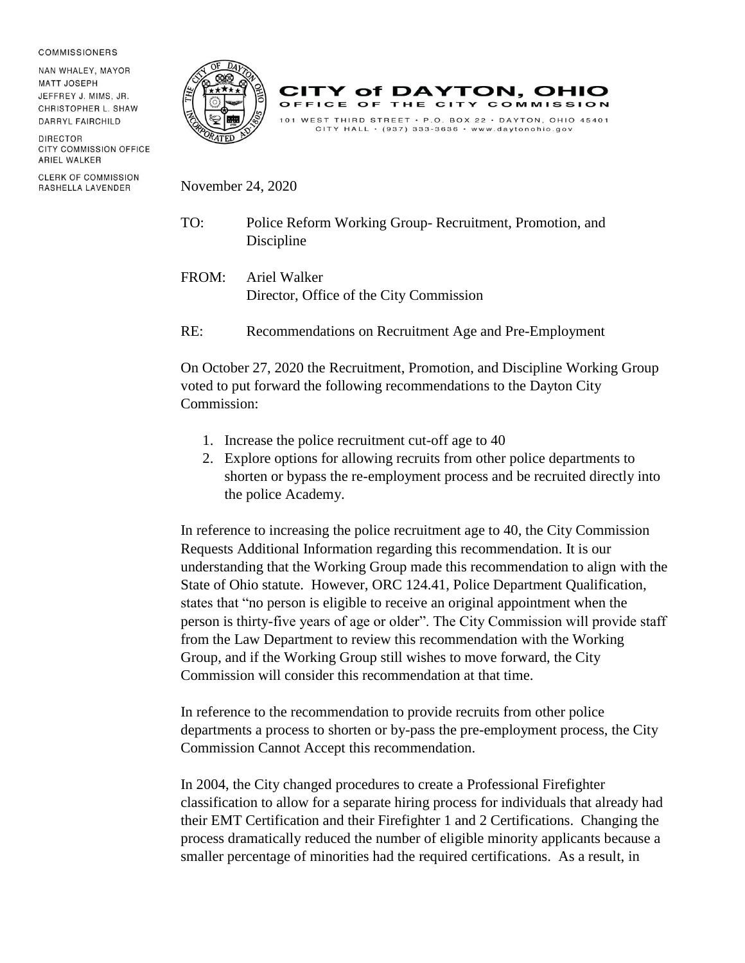## **COMMISSIONERS**

NAN WHALEY, MAYOR **MATT JOSEPH** JEFFREY J. MIMS, JR. CHRISTOPHER L. SHAW DARRYL FAIRCHILD

DIRECTOR CITY COMMISSION OFFICE ARIEL WALKER

**CLERK OF COMMISSION** RASHELLA LAVENDER





November 24, 2020

- TO: Police Reform Working Group- Recruitment, Promotion, and Discipline
- FROM: Ariel Walker Director, Office of the City Commission
- RE: Recommendations on Recruitment Age and Pre-Employment

On October 27, 2020 the Recruitment, Promotion, and Discipline Working Group voted to put forward the following recommendations to the Dayton City Commission:

- 1. Increase the police recruitment cut-off age to 40
- 2. Explore options for allowing recruits from other police departments to shorten or bypass the re-employment process and be recruited directly into the police Academy.

In reference to increasing the police recruitment age to 40, the City Commission Requests Additional Information regarding this recommendation. It is our understanding that the Working Group made this recommendation to align with the State of Ohio statute. However, ORC 124.41, Police Department Qualification, states that "no person is eligible to receive an original appointment when the person is thirty-five years of age or older". The City Commission will provide staff from the Law Department to review this recommendation with the Working Group, and if the Working Group still wishes to move forward, the City Commission will consider this recommendation at that time.

In reference to the recommendation to provide recruits from other police departments a process to shorten or by-pass the pre-employment process, the City Commission Cannot Accept this recommendation.

In 2004, the City changed procedures to create a Professional Firefighter classification to allow for a separate hiring process for individuals that already had their EMT Certification and their Firefighter 1 and 2 Certifications. Changing the process dramatically reduced the number of eligible minority applicants because a smaller percentage of minorities had the required certifications. As a result, in